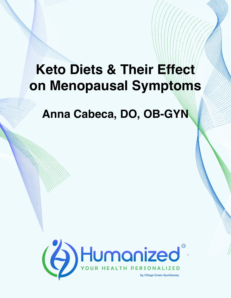## **Keto Diets & Their Effect on Menopausal Symptoms**

**Anna Cabeca, DO, OB-GYN**

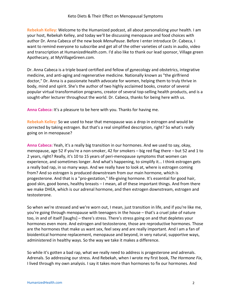**Rebekah Kelley:** Welcome to the Humanized podcast, all about personalizing your health. I am your host, Rebekah Kelley, and today we'll be discussing menopause and food choices with author Dr. Anna Cabeca of the new book *MenuPause*. Before I enter introduce Dr. Cabeca, I want to remind everyone to subscribe and get all of the other varieties of casts in audio, video and transcription at HumanizedHealth.com. I'd also like to thank our lead sponsor, Village green Apothecary, at MyVillageGreen.com.

Dr. Anna Cabeca is a triple board certified and fellow of gynecology and obstetrics, integrative medicine, and anti-aging and regenerative medicine. Nationally known as "the girlfriend doctor," Dr. Anna is a passionate health advocate for women, helping them to truly thrive in body, mind and spirit. She's the author of two highly acclaimed books, creator of several popular virtual transformation programs, creator of several top-selling health products, and is a sought-after lecturer throughout the world. Dr. Cabeca, thanks for being here with us.

**Anna Cabeca:** It's a pleasure to be here with you. Thanks for having me.

**Rebekah Kelley:** So we used to hear that menopause was a drop in estrogen and would be corrected by taking estrogen. But that's a real simplified description, right? So what's really going on in menopause?

**Anna Cabeca:** Yeah, it's a really big transition in our hormones. And we used to say, okay, menopause, age 52 if you're a non-smoker, 42 for smokers – big red flag there – but 52 and 1 to 2 years, right? Really, it's 10 to 15 years of peri-menopause symptoms that women can experience, and sometimes longer. And what's happening, to simplify it... I think estrogen gets a really bad rap, in so many ways. And we really have to look at, where is estrogen coming from? And so estrogen is produced downstream from our main hormone, which is progesterone. And that is a "pro-gestation," life-giving hormone. It's essential for good hair, good skin, good bones, healthy breasts – I mean, all of these important things. And from there we make DHEA, which is our adrenal hormone, and then estrogen downstream, estrogen and testosterone.

So when we're stressed and we're worn out, I mean, just transition in life, and if you're like me, you're going through menopause with teenagers in the house – that's a cruel joke of nature too, in and of itself [laughs] – there's stress. There's stress going on and that depletes your hormones even more. And estrogen and testosterone, those are reproductive hormones. Those are the hormones that make us want sex, feel sexy and are really important. And I am a fan of bioidentical hormone replacement, menopause and beyond, in very natural, supportive ways, administered in healthy ways. So the way we take it makes a difference.

So while it's gotten a bad rap, what we really need to address is progesterone and adrenals. Adrenals. So addressing our stress. And Rebekah, when I wrote my first book, *The Hormone Fix*, I lived through my own analysis. I say it takes more than hormones to fix our hormones. And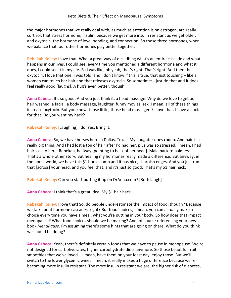the major hormones that we really deal with, as much as attention is on estrogen, are really cortisol, that stress hormone, insulin, because we get more insulin resistant as we get older, and oxytocin, the hormone of love, bonding, and connection. So those three hormones, when we balance that, our other hormones play better together.

**Rebekah Kelley:** I love that. What a great way of describing what's an entire cascade and what happens in our lives. I could see, every time you mentioned a different hormone and what it does, I could see it in my life. So I was like, oh yeah, that's right. That's right. And then the oxytocin, I love that one. I was told, and I don't know if this is true, that just touching – like a woman can touch her hair and that releases oxytocin. So sometimes I just do that and it does feel really good [laughs]. A hug's even better, though.

**Anna Cabeca:** It's so good. And you just think it, a head massage. Why do we love to get our hair washed, a facial, a body massage, laughter, funny movies, sex. I mean, all of these things increase oxytocin. But you know, those little, those head massagers? I love that. I have a hack for that. Do you want my hack?

**Rebekah Kelley:** [Laughing] I do. Yes. Bring it.

**Anna Cabeca:** So, we have horses here in Dallas, Texas. My daughter does rodeo. And hair is a really big thing. And I had lost a ton of hair after I'd had her, plus was so stressed. I mean, I had hair loss to here, Rebekah, halfway [pointing to back of her head]. Male pattern baldness. That's a whole other story. But healing my hormones really made a difference. But anyway, in the horse world, we have this \$1 horse comb and it has nice, sharpish edges. And you just run that [across] your head, and you feel that, and it's just so good. That's my \$1 hair hack.

**Rebekah Kelley:** Can you start putting it up on DrAnna.com? [Both laugh]

**Anna Cabeca:** I think that's a great idea. My \$1 hair hack.

**Rebekah Kelley:** I love that! So, do people underestimate the impact of food, though? Because we talk about hormone cascades, right? But food choices, I mean, you can actually make a choice every time you have a meal, what you're putting in your body. So how does that impact menopause? What food choices should we be making? And, of course referencing your new book *MenuPause.* I'm assuming there's some hints that are going on there. What do you think we should be doing?

**Anna Cabeca:** Yeah, there's definitely certain foods that we have to pause in menopause. We're not designed for carbohydrates, higher carbohydrate diets anymore. So those beautiful fruit smoothies that we've loved... I mean, have them on your feast day, enjoy those. But we'll switch to the lower glycemic wines. I mean, it really makes a huge difference because we're becoming more insulin resistant. The more insulin resistant we are, the higher risk of diabetes,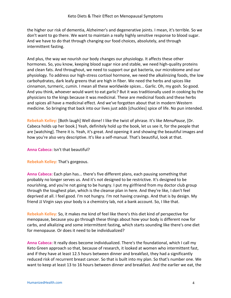the higher our risk of dementia, Alzheimer's and degenerative joints. I mean, it's terrible. So we don't want to go there. We want to maintain a really highly sensitive response to blood sugar. And we have to do that through changing our food choices, absolutely, and through intermittent fasting.

And plus, the way we nourish our body changes our physiology. It affects these other hormones. So, you know, keeping blood sugar nice and stable, we need high-quality proteins and clean fats. And throughout, we need to support our gut bacteria, our microbiome and our physiology. To address our high-stress cortisol hormone, we need the alkalinizing foods, the low carbohydrates, dark leafy greens that are high in fiber. We need the herbs and spices like cinnamon, turmeric, cumin. I mean all these worldwide spices... Garlic. Oh, my gosh. So good. And you think, whoever would want to eat garlic? But it was traditionally used in cooking by the physicians to the kings because it was medicinal. These are medicinal foods and these herbs and spices all have a medicinal effect. And we've forgotten about that in modern Western medicine. So bringing that back into our lives just adds [chuckles] spice of life. No pun intended.

**Rebekah Kelley:** [Both laugh] Well done! I like the twist of phrase. It's like *MenuPause*, [Dr. Cabeca holds up her book.] Yeah, definitely hold up the book, let us see it, for the people that are [watching]. There it is. Yeah, it's great. And opening it and showing the beautiful images and how you're also very descriptive. It's like a self-manual. That's beautiful, look at that.

**Anna Cabeca:** Isn't that beautiful?

**Rebekah Kelley:** That's gorgeous.

**Anna Cabeca:** Each plan has... there's five different plans, each pausing something that probably no longer serves us. And it's not designed to be restrictive. It's designed to be nourishing, and you're not going to be hungry. I put my girlfriend from my doctor club group through the toughest plan, which is the cleanse plan in here. And they're like, I don't feel deprived at all. I feel good. I'm not hungry. I'm not having cravings. And that is by design. My friend JJ Virgin says your body is a chemistry lab, not a bank account. So, I like that.

**Rebekah Kelley:** So, it makes me kind of feel like there's this diet kind of perspective for menopause, because you go through these things about how your body is different now for carbs, and alkalizing and some intermittent fasting, which starts sounding like there's one diet for menopause. Or does it need to be individualized?

**Anna Cabeca:** It really does become individualized. There's the foundational, which I call my Keto Green approach so that, because of research, it looked at women who intermittent fast, and if they have at least 12.5 hours between dinner and breakfast, they had a significantly reduced risk of recurrent breast cancer. So that is built into my plan. So that's number one. We want to keep at least 13 to 16 hours between dinner and breakfast. And the earlier we eat, the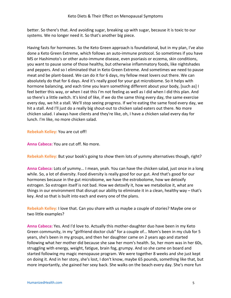better. So there's that. And avoiding sugar, breaking up with sugar, because it is toxic to our systems. We no longer need it. So that's another big piece.

Having fasts for hormones. So the Keto Green approach is foundational, but in my plan, I've also done a Keto Green Extreme, which follows an auto-immune protocol. So sometimes if you have MS or Hashimoto's or other auto-immune disease, even psoriasis or eczema, skin conditions, you want to pause some of those healthy, but otherwise inflammatory foods, like nightshades and peppers. And so I eliminated that in Keto Green Extreme. And sometimes we need to pause meat and be plant-based. We can do it for 6 days, my fellow meat lovers out there. We can absolutely do that for 6 days. And it's really good for your gut microbiome. So it helps with hormone balancing, and each time you learn something different about your body, [such as] I feel better this way, or when I eat this I'm not feeling as well as I did when I did this plan. And so there's a little switch. It's kind of like, if we do the same thing every day, the same exercise every day, we hit a stall. We'll stop seeing progress. If we're eating the same food every day, we hit a stall. And I'll just do a really big shout-out to chicken salad eaters out there. No more chicken salad. I always have clients and they're like, oh, I have a chicken salad every day for lunch. I'm like, no more chicken salad.

**Rebekah Kelley:** You are cut off!

**Anna Cabeca:** You are cut off. No more.

**Rebekah Kelley:** But your book's going to show them lots of yummy alternatives though, right?

**Anna Cabeca:** Lots of yummy... I mean, yeah. You can have the chicken salad, just once in a long while. So, a lot of diversity. Food diversity is really good for our gut. And that's good for our hormones because in the gut microbiome, we have the estrobolome, how we detoxify estrogen. So estrogen itself is not bad. How we detoxify it, how we metabolize it, what are things in our environment that disrupt our ability to eliminate it in a clean, healthy way – that's key. And so that is built into each and every one of the plans.

**Rebekah Kelley:** I love that. Can you share with us maybe a couple of stories? Maybe one or two little examples?

**Anna Cabeca:** Yes. And I'd love to. Actually this mother-daughter duo have been in my Keto Green community, in my "girlfriend doctor club" for a couple of... Mom's been in my club for 5 years, she's been in my groups, and then her daughter came on 2 years ago and started following what her mother did because she saw her mom's health. So, her mom was in her 60s, struggling with energy, weight, fatigue, brain fog, grumpy. And so she came on board and started following my magic menopause program. We were together 8 weeks and she just kept on doing it. And in her story, she's lost, I don't know, maybe 65 pounds, something like that, but more importantly, she gained her sexy back. She walks on the beach every day. She's more fun